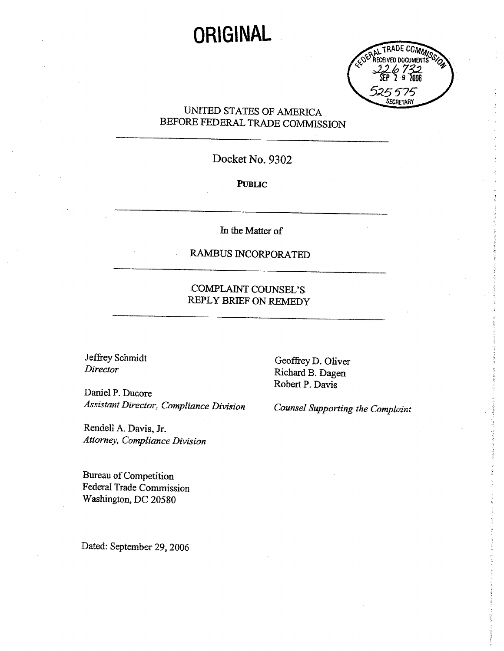# **ORIGINAL**



## UNITED STATES OF AMERICA BEFORE FEDERAL TRADE COMMISSION

# Docket No. 9302

#### PUBLIC

In the Matter of

# RAMBUS INCORPORATED

### COMPLAINT COUNSEL'S REPLY BRIEF ON REMEDY

Daniel P. Ducore Assistant Director, Compliance Division Counsel Supporting the Complaint

Rendell A. Davis, Jr. Attorney, Compliance Division

Bureau of Competition Federal Trade Commission Washigton, DC 20580

Dated: September 29, 2006

Jeffrey Schmidt<br>
Director Geoffrey D. Oliver<br>
Richard B. Dagen Robert P. Davis